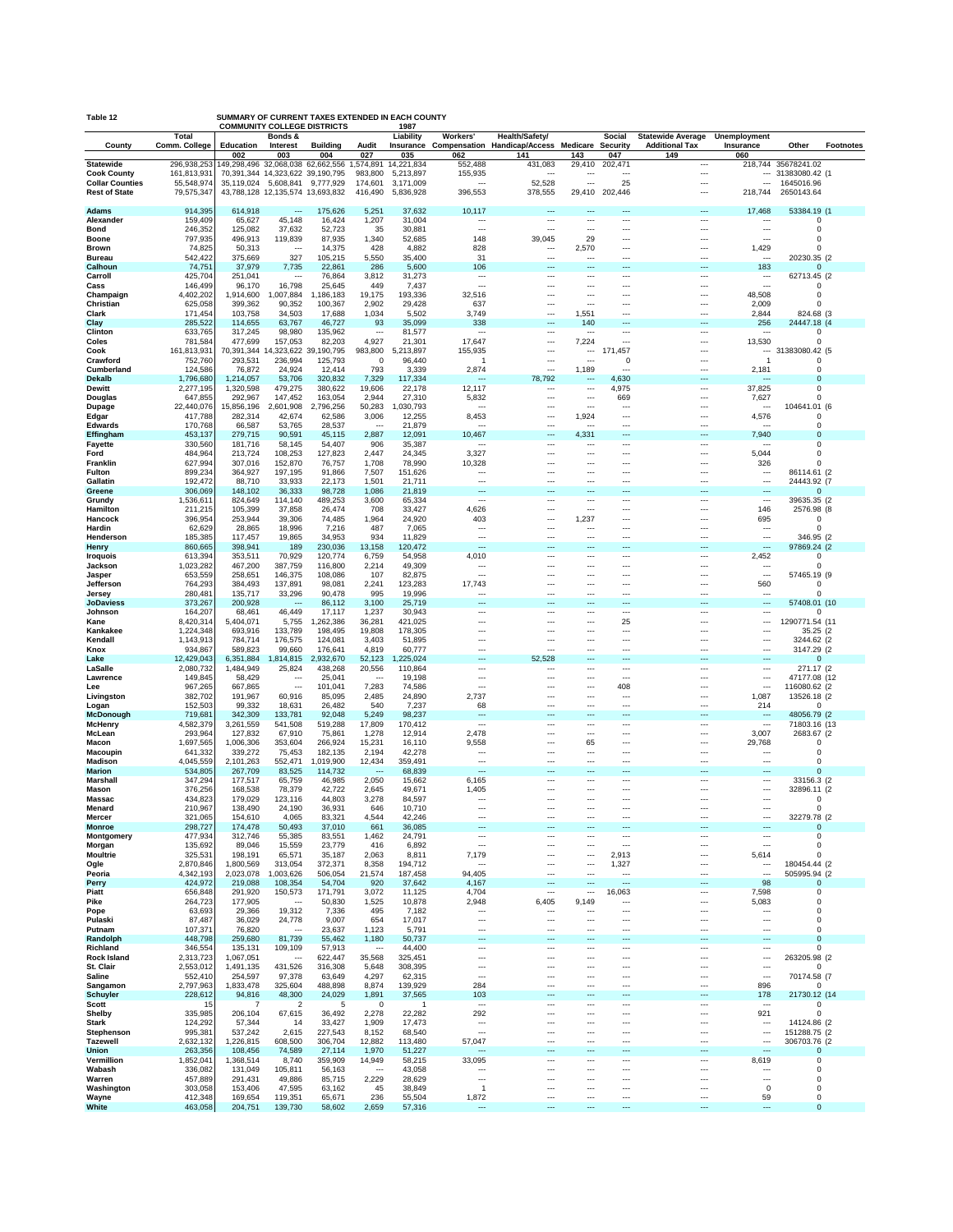| SUMMARY OF CURRENT TAXES EXTENDED IN EACH COUNTY<br>Table 12<br><b>COMMUNITY COLLEGE DISTRICTS</b><br>1987 |                          |                               |                                                          |                       |                                   |                        |                                                      |                                                                   |                                                      |                              |                                                      |                                                      |                              |                  |
|------------------------------------------------------------------------------------------------------------|--------------------------|-------------------------------|----------------------------------------------------------|-----------------------|-----------------------------------|------------------------|------------------------------------------------------|-------------------------------------------------------------------|------------------------------------------------------|------------------------------|------------------------------------------------------|------------------------------------------------------|------------------------------|------------------|
| County                                                                                                     | Total<br>Comm. College   | Education                     | Bonds &<br>Interest                                      | <b>Building</b>       | Audit                             | Liability              | Workers'                                             | Health/Safety/<br>Insurance Compensation Handicap/Access Medicare |                                                      | Social<br><b>Security</b>    | <b>Statewide Average</b><br><b>Additional Tax</b>    | <b>Unemployment</b><br>Insurance                     | Other                        | <b>Footnotes</b> |
| <b>Statewide</b>                                                                                           | 296,938,253              | 002<br>149,298,496 32,068,038 | 003                                                      | 004<br>62.662.556     | 027<br>1,574,891                  | 035<br>14,221,834      | 062<br>552,488                                       | 141<br>431,083                                                    | 143<br>29,410                                        | 047<br>202,471               | 149<br>---                                           | 060<br>218,744                                       | 35678241.02                  |                  |
| <b>Cook County</b>                                                                                         | 161,813,931              |                               | 70,391,344 14,323,622 39,190,795                         |                       | 983,800                           | 5,213,897              | 155,935                                              |                                                                   |                                                      |                              | ---                                                  | $\overline{\phantom{a}}$                             | 31383080.42 (1               |                  |
| <b>Collar Counties</b><br><b>Rest of State</b>                                                             | 55,548,974<br>79,575,347 |                               | 35,119,024 5,608,841<br>43,788,128 12,135,574 13,693,832 | 9,777,929             | 174,601<br>416,490                | 3,171,009<br>5,836,928 | $\overline{\phantom{a}}$<br>396,553                  | 52,528<br>378,555                                                 | $\overline{\phantom{a}}$<br>29,410                   | 25<br>202,446                | $\overline{\phantom{a}}$<br>                         | 218,744                                              | 1645016.96<br>2650143.64     |                  |
| <b>Adams</b>                                                                                               | 914,395                  | 614,918                       | ---                                                      | 175,626               | 5,251                             | 37,632                 | 10,117                                               |                                                                   |                                                      |                              | ---                                                  | 17,468                                               | 53384.19 (1                  |                  |
| Alexander                                                                                                  | 159,409                  | 65,627                        | 45,148                                                   | 16,424                | 1,207                             | 31,004                 |                                                      |                                                                   | ---                                                  | ---                          | ---                                                  |                                                      | 0                            |                  |
| Bond<br><b>Boone</b>                                                                                       | 246,352<br>797,935       | 125,082<br>496,913            | 37,632<br>119,839                                        | 52,723<br>87,935      | 35<br>1,340                       | 30,881<br>52,685       | ---<br>148                                           | ---<br>39,045                                                     | ---<br>29                                            | ---<br>---                   | $\overline{\phantom{a}}$<br>---                      | $\overline{\phantom{a}}$<br>---                      | 0<br>0                       |                  |
| <b>Brown</b>                                                                                               | 74,825                   | 50,313                        | $\ddotsc$                                                | 14,375                | 428                               | 4,882                  | 828                                                  | ---                                                               | 2,570<br>---                                         | ---<br>---                   | ---<br>---                                           | 1,429<br>                                            |                              |                  |
| <b>Bureau</b><br>Calhoun                                                                                   | 542,422<br>74,751        | 375,669<br>37,979             | 327<br>7,735                                             | 105,215<br>22,861     | 5,550<br>286                      | 35,400<br>5,600        | 31<br>106                                            |                                                                   | ---                                                  | ---                          | ---                                                  | 183                                                  | 20230.35 (2<br>$\Omega$      |                  |
| Carroll<br>Cass                                                                                            | 425,704<br>146,499       | 251,041<br>96,170             | ---<br>16,798                                            | 76,864<br>25,645      | 3,812<br>449                      | 31,273<br>7,437        | $\overline{\phantom{a}}$<br>$\overline{\phantom{a}}$ | ---<br>---                                                        | ---                                                  | ---<br>                      | ---<br>---                                           | $\overline{\phantom{a}}$<br>$\sim$                   | 62713.45 (2<br>0             |                  |
| Champaign                                                                                                  | 4,402,202                | 1,914,600                     | 007,884                                                  | ,186,183              | 19,175                            | 193,336                | 32,516                                               | ---                                                               | $\overline{\phantom{a}}$                             | ---                          | ---                                                  | 48,508                                               | 0                            |                  |
| Christian<br>Clark                                                                                         | 625,058<br>171,454       | 399,362<br>103,758            | 90,352<br>34,503                                         | 100,367<br>17,688     | 2,902<br>1,034                    | 29,428<br>5,502        | 637<br>3,749                                         | ---<br>---                                                        | ---<br>1,551                                         | ---<br>---                   | ---<br>---                                           | 2,009<br>2,844                                       | $\Omega$<br>824.68 (3        |                  |
| Clay                                                                                                       | 285,522                  | 114,655                       | 63,767                                                   | 46,727                | 93                                | 35,099                 | 338                                                  | ---                                                               | 140                                                  |                              | ---                                                  | 256                                                  | 24447.18 (4                  |                  |
| Clinton<br>Coles                                                                                           | 633,765<br>781,584       | 317,245<br>477,699            | 98,980<br>157,053                                        | 135,962<br>82,203     | $\overline{\phantom{a}}$<br>4,927 | 81,577<br>21,301       | 17,647                                               | ---<br>---                                                        | ---<br>7,224                                         | ---<br>---                   | ---<br>---                                           | 13,530                                               | $\Omega$<br>$\Omega$         |                  |
| Cook<br>Crawford                                                                                           | 161,813,931<br>752,760   | 70,391,344<br>293,531         | 323,622<br>236,994                                       | 39,190,795<br>125,793 | 983,800<br>0                      | ,213,897<br>96,440     | 155,935<br>1                                         | ---<br>---                                                        | $\overline{\phantom{a}}$                             | 457<br>171<br>0              | $\overline{a}$<br>---                                | $\overline{1}$                                       | 31383080.42 (5<br>$\Omega$   |                  |
| Cumberland                                                                                                 | 124,586                  | 76,872                        | 24,924                                                   | 12,414                | 793                               | 3,339                  | 2,874                                                | ---                                                               | 1,189                                                | ---                          | ---                                                  | 2,181                                                | 0                            |                  |
| Dekalb<br><b>Dewitt</b>                                                                                    | 1,796,680<br>2,277,195   | 1,214,057<br>1,320,598        | 53,706<br>479,275                                        | 320,832<br>380,622    | 7,329<br>19,606                   | 117,334<br>22,178      | 12,117                                               | 78,792                                                            | $\overline{\phantom{a}}$                             | 4,630<br>4,975               | ---                                                  | 37,825                                               | $\mathbf 0$<br>0             |                  |
| Douglas                                                                                                    | 647,855                  | 292,967                       | 147,452                                                  | 163,054               | 2,944                             | 27,310                 | 5,832                                                | ---                                                               | $\overline{\phantom{a}}$                             | 669                          | $\overline{\phantom{a}}$                             | 7,627                                                | $\Omega$                     |                  |
| Dupage<br>Edgar                                                                                            | 22,440,076<br>417,788    | 15,856,196<br>282,314         | 2,601,908<br>42,674                                      | 2,796,256<br>62,586   | 50,283<br>3,006                   | ,030,793<br>12,255     | ---<br>8,453                                         | ---<br>---                                                        | ---<br>1,924                                         | <br>---                      | ---<br>---                                           | ---<br>4,576                                         | 104641.01 (6<br>$\Omega$     |                  |
| Edwards                                                                                                    | 170,768                  | 66,587                        | 53,765                                                   | 28,537                | $\overline{\phantom{a}}$          | 21,879                 |                                                      | ---                                                               | ---                                                  | ---                          | ---                                                  | ---                                                  | 0                            |                  |
| Effingham<br>Fayette                                                                                       | 453,137<br>330,560       | 279,715<br>181,716            | 90,591<br>58,145                                         | 45,115<br>54,407      | 2,887<br>906                      | 12,091<br>35,387       | 10,467                                               | ---<br>---                                                        | 4,331<br>---                                         | ---<br>---                   | ---                                                  | 7,940                                                | $\mathbf 0$<br>0             |                  |
| Ford<br>Franklin                                                                                           | 484,964                  | 213,724                       | 108,253                                                  | 127,823               | 2,447<br>1,708                    | 24,345                 | 3,327                                                | ---<br>---                                                        | ---<br>                                              | ---<br>---                   | ---<br>---                                           | 5,044                                                | 0                            |                  |
| <b>Fulton</b>                                                                                              | 627,994<br>899,234       | 307,016<br>364,927            | 152,870<br>197,195                                       | 76,757<br>91,866      | 7,507                             | 78,990<br>151,626      | 10,328<br>                                           |                                                                   |                                                      | ---                          | ---                                                  | 326<br>$\overline{\phantom{a}}$                      | 86114.61 (2                  |                  |
| Gallatin<br>Greene                                                                                         | 192,472<br>306,069       | 88,710<br>148,102             | 33,933<br>36,333                                         | 22,173<br>98,728      | 1,501<br>1,086                    | 21,711<br>21,819       | ---<br>…                                             | ---<br>Щ,                                                         | $\overline{\phantom{a}}$<br>                         | ---<br>                      | $\overline{a}$<br>---                                | $\overline{\phantom{a}}$                             | 24443.92 (7<br>$\Omega$      |                  |
| Grundy                                                                                                     | 1,536,61                 | 824,649                       | 114,140                                                  | 489,253               | 3,600                             | 65,334                 | ---                                                  | ---                                                               |                                                      | ---                          | ---                                                  | $\overline{\phantom{a}}$                             | 39635.35 (2                  |                  |
| Hamilton<br>Hancock                                                                                        | 211,215<br>396,954       | 105,399<br>253,944            | 37,858<br>39,306                                         | 26,474<br>74,485      | 708<br>1,964                      | 33,427<br>24,920       | 4,626<br>403                                         | ---<br>---                                                        | ---<br>1,237                                         | ---<br>---                   | ---<br>$\overline{a}$                                | 146<br>695                                           | 2576.98 (8<br>0              |                  |
| Hardin                                                                                                     | 62,629                   | 28,865                        | 18,996                                                   | 7,216                 | 487                               | 7,065                  |                                                      | ---                                                               | ---                                                  | ---                          | ---                                                  | $\overline{\phantom{a}}$                             | $\Omega$                     |                  |
| Henderson<br>Henry                                                                                         | 185,385<br>860,665       | 117,457<br>398,941            | 19,865<br>189                                            | 34,953<br>230,036     | 934<br>13,158                     | 11,829<br>120,472      | ---<br>                                              |                                                                   | ---                                                  | ---<br>                      | ---<br>---                                           | $\overline{\phantom{a}}$<br>---                      | 346.95 (2<br>97869.24 (2     |                  |
| <b>Iroquois</b>                                                                                            | 613,394<br>1,023,282     | 353,511<br>467,200            | 70,929<br>387,759                                        | 120,774<br>116,800    | 6,759<br>2,214                    | 54,958<br>49,309       | 4,010<br>---                                         | <br>                                                              | ---                                                  | ---<br>---                   | ---<br>---                                           | 2,452<br>$\overline{\phantom{a}}$                    | 0<br>$\Omega$                |                  |
| Jackson<br>Jasper                                                                                          | 653,559                  | 258,651                       | 146,375                                                  | 108,086               | 107                               | 82,875                 | ---                                                  |                                                                   |                                                      | ---                          | ---                                                  | $\overline{\phantom{a}}$                             | 57465.19 (9                  |                  |
| Jefferson<br>Jersey                                                                                        | 764,293<br>280,48        | 384,493<br>135,717            | 137,891<br>33,296                                        | 98,081<br>90,478      | 2,241<br>995                      | 123,283<br>19,996      | 17,743                                               | ---<br>---                                                        | ---<br>---                                           | ---<br>                      | $\overline{a}$<br>---                                | 560<br>---                                           | $\Omega$                     |                  |
| <b>JoDaviess</b>                                                                                           | 373,267                  | 200,928                       | $\overline{\phantom{a}}$                                 | 86,112                | 3,100                             | 25,719                 |                                                      | Щ,                                                                |                                                      | ---                          | ---                                                  | $\overline{\phantom{a}}$                             | 57408.01 (10                 |                  |
| Johnson<br>Kane                                                                                            | 164,207<br>8,420,314     | 68,461<br>5,404,071           | 46,449<br>5,755                                          | 17,117<br>,262,386    | 1,237<br>36,281                   | 30,943<br>421,025      | <br>---                                              | ---                                                               | ---                                                  | ---<br>25                    | <br>---                                              | $\overline{\phantom{a}}$<br>$\overline{\phantom{a}}$ | $\Omega$<br>1290771.54 (11   |                  |
| Kankakee                                                                                                   | 1,224,348                | 693,916                       | 133,789                                                  | 198,495               | 19,808                            | 178,305                | ---                                                  | ---                                                               | ---                                                  | ---                          | ---                                                  | $\overline{\phantom{a}}$                             | 35.25 (2)                    |                  |
| Kendal<br>Knox                                                                                             | 1,143,913<br>934,867     | 784,714<br>589,823            | 176,575<br>99,660                                        | 124,081<br>176,641    | 3,403<br>4,819                    | 51,895<br>60,777       | ---<br>---                                           | <br>$\overline{\phantom{a}}$                                      | ---<br>$\overline{\phantom{a}}$                      | ---<br>---                   | ---<br>$\overline{a}$                                | $\overline{\phantom{a}}$<br>$\overline{\phantom{a}}$ | 3244.62 (2<br>3147.29 (2     |                  |
| Lake<br>LaSalle                                                                                            | 12,429,043               | 6,351,884                     | 814,815                                                  | 2,932,670             | 52,123                            | ,225,024               | <br>---                                              | 52,528                                                            | <br>                                                 | ---<br>---                   | ---<br>---                                           | $\overline{\phantom{a}}$                             | $\Omega$                     |                  |
| Lawrence                                                                                                   | 2,080,732<br>149,845     | 1,484,949<br>58,429           | 25,824<br>$\overline{\phantom{a}}$                       | 438,268<br>25,041     | 20,556<br>$\ddotsc$               | 110,864<br>19,198      | $\overline{\phantom{a}}$                             | ---<br>                                                           | ---                                                  | $\overline{\phantom{a}}$     | ---                                                  | $\overline{\phantom{a}}$                             | 271.17 (2<br>47177.08 (12    |                  |
| Lee<br>Livingston                                                                                          | 967,265<br>382,702       | 667,865<br>191,967            | $\overline{\phantom{a}}$<br>60,916                       | 101,041<br>85,095     | 7,283<br>2,485                    | 74,586<br>24,890       | $\overline{\phantom{a}}$<br>2,737                    | ---<br>                                                           | $\overline{\phantom{a}}$<br>---                      | 408<br>---                   | ---<br>---                                           | $\overline{\phantom{a}}$<br>1,087                    | 116080.62 (2<br>13526.18 (2  |                  |
| Logan                                                                                                      | 152,503                  | 99,332                        | 18,631                                                   | 26,482                | 540                               | 7,237                  | 68                                                   |                                                                   |                                                      | ---                          | ---                                                  | 214                                                  | O                            |                  |
| <b>McDonough</b><br><b>McHenry</b>                                                                         | 719,68<br>4,582,379      | 342,309<br>3,261,559          | 133,781<br>541,508                                       | 92,048<br>519,288     | 5,249<br>17,809                   | 98,237<br>170,412      | …<br>---                                             |                                                                   | ---                                                  | <br>---                      | ---                                                  | $\overline{\phantom{a}}$                             | 48056.79 (2<br>71803.16 (13  |                  |
| McLean<br>Macon                                                                                            | 293,964                  | 127,832                       | 67,910<br>353,604                                        | 75,861                | 1,278                             | 12,914                 | 2,478                                                | <br>                                                              | ---                                                  | ---<br>---                   | ---<br>---                                           | 3,007                                                | 2683.67 (2                   |                  |
| Macoupin                                                                                                   | 1,697,565<br>641,332     | 1,006,306<br>339,272          | 75,453                                                   | 266,924<br>182,135    | 15,231<br>2,194                   | 16,110<br>42,278       | 9,558                                                | ---                                                               | 65<br>---                                            |                              | $\overline{a}$                                       | 29,768<br>---                                        | 0                            |                  |
| Madison<br><b>Marion</b>                                                                                   | 4,045,559<br>534,805     | 2,101,263<br>267,709          | 552,471<br>83,525                                        | 1,019,900<br>114,732  | 12,434<br>---                     | 359,491<br>68,839      | ---<br>---                                           |                                                                   | ---                                                  | ---<br>---                   | ---                                                  | ---                                                  | 0                            |                  |
| Marshall                                                                                                   | 347,294                  | 177,517                       | 65,759                                                   | 46,985                | 2,050                             | 15,662                 | 6,165                                                |                                                                   |                                                      | ---                          |                                                      | ---                                                  | 33156.3 (2                   |                  |
| Mason<br>Massac                                                                                            | 376,256<br>434,823       | 168.538<br>179,029            | 78,379<br>123.116                                        | 42,722<br>44,803      | 2,645<br>3,278                    | 49,671<br>84,597       | 1,405                                                | ---<br>                                                           | ---<br>---                                           | <br>---                      | ---<br>---                                           | $\overline{\phantom{a}}$<br>$\overline{\phantom{a}}$ | 32896.11 (2<br>0             |                  |
| Menard                                                                                                     | 210,967<br>321,065       | 138.490<br>154,610            | 24,190<br>4,065                                          | 36,931<br>83,321      | 646<br>4,544                      | 10,710                 | $\overline{\phantom{a}}$                             |                                                                   |                                                      | ---                          | ---                                                  | <br>$\overline{\phantom{a}}$                         | $\Omega$                     |                  |
| Mercer<br><b>Monroe</b>                                                                                    | 298,727                  | 174,478                       | 50,493                                                   | 37,010                | 661                               | 42,246<br>36,085       | ---                                                  |                                                                   |                                                      | ---                          | ---                                                  |                                                      | 32279.78 (2<br>$\mathbf 0$   |                  |
| Montgomery<br>Morgan                                                                                       | 477,934<br>135,692       | 312,746<br>89,046             | 55,385<br>15,559                                         | 83,551<br>23,779      | 1,462<br>416                      | 24,791<br>6,892        | <br>$\overline{\phantom{a}}$                         | <br>---                                                           | $\overline{\phantom{a}}$<br>$\overline{\phantom{a}}$ | <br>$\overline{\phantom{a}}$ | ---<br>---                                           | $\overline{\phantom{a}}$<br>$\overline{\phantom{a}}$ | 0<br>0                       |                  |
| <b>Moultrie</b>                                                                                            | 325,531                  | 198,191                       | 65,571                                                   | 35,187                | 2,063                             | 8,811                  | 7,179                                                | ---                                                               | $\overline{\phantom{a}}$                             | 2,913                        | $\hspace{0.05cm} \ldots$                             | 5,614                                                | 0                            |                  |
| Ogle<br>Peoria                                                                                             | 2,870,846<br>4,342,193   | 1,800,569<br>2,023,078        | 313,054<br>1,003,626                                     | 372,371<br>506,054    | 8,358<br>21,574                   | 194,712<br>187,458     | <br>94,405                                           | ---<br>---                                                        | $\overline{\phantom{a}}$<br>$\overline{\phantom{a}}$ | 1,327<br>                    | ---<br>---                                           | $\overline{\phantom{a}}$<br>$\overline{\phantom{a}}$ | 180454.44 (2<br>505995.94 (2 |                  |
| Perry                                                                                                      | 424,972                  | 219,088                       | 108,354                                                  | 54,704                | 920                               | 37,642                 | 4,167                                                | ---<br>---                                                        | <br>$\overline{\phantom{a}}$                         |                              | ---<br>---                                           | 98                                                   | $\overline{0}$<br>0          |                  |
| Piatt<br>Pike                                                                                              | 656,848<br>264,723       | 291,920<br>177,905            | 150,573<br>$\overline{\phantom{a}}$                      | 171,791<br>50,830     | 3,072<br>1,525                    | 11,125<br>10,878       | 4,704<br>2,948                                       | 6,405                                                             | 9,149                                                | 16,063<br>                   | ---                                                  | 7,598<br>5,083                                       | 0                            |                  |
| Pope<br>Pulaski                                                                                            | 63,693<br>87,487         | 29,366<br>36,029              | 19,312<br>24,778                                         | 7,336<br>9,007        | 495<br>654                        | 7,182<br>17,017        | <br>$\overline{\phantom{a}}$                         | ---<br>---                                                        | $\overline{\phantom{a}}$<br>                         | <br>                         | ---<br>---                                           | $\cdots$<br>$\ldots$                                 | 0<br>0                       |                  |
| Putnam                                                                                                     | 107,371                  | 76,820                        | $\overline{\phantom{a}}$                                 | 23,637                | 1,123                             | 5,791                  |                                                      | ---                                                               | ---                                                  |                              | ---                                                  | $\overline{\phantom{a}}$                             | 0                            |                  |
| Randolph<br>Richland                                                                                       | 448,798<br>346,554       | 259,680<br>135,131            | 81,739<br>109,109                                        | 55,462<br>57,913      | 1,180<br>$\overline{\phantom{a}}$ | 50,737<br>44,400       | <br>                                                 | <br>                                                              |                                                      | ---<br>---                   | ---<br>---                                           | $\overline{\phantom{a}}$<br>$\overline{\phantom{a}}$ | $\mathbf 0$<br>0             |                  |
| Rock Island                                                                                                | 2,313,723                | 1,067,051                     | $\overline{\phantom{a}}$                                 | 622,447               | 35,568                            | 325,451                | $\overline{\phantom{a}}$                             | ---                                                               | $\overline{\phantom{a}}$                             |                              | $\hspace{0.05cm} \ldots$                             | $\overline{\phantom{a}}$                             | 263205.98 (2                 |                  |
| St. Clair<br>Saline                                                                                        | 2,553,012<br>552,410     | 1,491,135<br>254,597          | 431,526<br>97,378                                        | 316,308<br>63,649     | 5,648<br>4,297                    | 308,395<br>62,315      | <br>$\overline{\phantom{a}}$                         | ---<br>---                                                        | $\overline{\phantom{a}}$<br>$\overline{\phantom{a}}$ | <br>                         | ---<br>---                                           | $\overline{\phantom{a}}$<br>$\overline{\phantom{a}}$ | 0<br>70174.58 (7             |                  |
| Sangamon                                                                                                   | 2,797,963                | 1,833,478                     | 325,604                                                  | 488,898               | 8,874                             | 139,929                | 284                                                  | ---<br>---                                                        | ---<br>                                              | <br>                         | ---<br>---                                           | 896                                                  | 0<br>21730.12 (14            |                  |
| Schuyler<br>Scott                                                                                          | 228,612<br>15            | 94,816<br>$\overline{7}$      | 48,300<br>$\overline{\mathbf{c}}$                        | 24,029<br>5           | 1,891<br>0                        | 37,565<br>1            | 103<br>$\overline{\phantom{a}}$                      |                                                                   | ---                                                  |                              | $\overline{\phantom{a}}$                             | 178<br>$\cdots$                                      | 0                            |                  |
| Shelby<br>Stark                                                                                            | 335,985<br>124,292       | 206,104<br>57,344             | 67,615<br>14                                             | 36,492<br>33,427      | 2,278<br>1,909                    | 22,282<br>17,473       | 292<br>$\overline{\phantom{a}}$                      | ---<br>---                                                        | $\overline{\phantom{a}}$<br>$\overline{\phantom{a}}$ | <br>                         | $\hspace{0.05cm} \ldots$<br>$\hspace{0.05cm} \ldots$ | 921<br>$\overline{\phantom{a}}$                      | 0<br>14124.86 (2             |                  |
| Stephenson                                                                                                 | 995,381                  | 537,242                       | 2,615                                                    | 227,543               | 8,152                             | 68,540                 | $\overline{\phantom{a}}$                             | ---                                                               | $\overline{\phantom{a}}$                             |                              | ---                                                  | $\cdots$                                             | 151288.75 (2                 |                  |
| Tazewell<br><b>Union</b>                                                                                   | 2,632,132<br>263,356     | 1,226,815<br>108,456          | 608,500<br>74,589                                        | 306,704<br>27,114     | 12,882<br>1,970                   | 113,480<br>51,227      | 57,047                                               | ---<br>Щ,                                                         | ---<br>                                              | ---<br>                      | ---<br>---                                           | $\overline{\phantom{a}}$<br>$\overline{\phantom{a}}$ | 306703.76 (2<br>$\mathbf 0$  |                  |
| Vermillion                                                                                                 | 1,852,041                | 1,368,514                     | 8,740                                                    | 359,909               | 14,949                            | 58,215                 | 33,095                                               | ---                                                               | ---                                                  | ---                          | ---                                                  | 8,619                                                | 0                            |                  |
| Wabash<br>Warren                                                                                           | 336,082<br>457,889       | 131,049<br>291,431            | 105,811<br>49,886                                        | 56,163<br>85,715      | $\cdots$<br>2,229                 | 43,058<br>28,629       | $\overline{\phantom{a}}$<br>                         | ---<br>---                                                        | $\overline{\phantom{a}}$<br>---                      | <br>---                      | ---<br>---                                           | $\cdots$<br>$\overline{\phantom{a}}$                 | 0<br>0                       |                  |
| Washington                                                                                                 | 303,058                  | 153,406                       | 47,595                                                   | 63,162                | 45                                | 38,849                 | $\overline{1}$                                       | ---                                                               | $\overline{\phantom{a}}$                             |                              | $\hspace{0.05cm} \ldots$                             | 0                                                    | 0                            |                  |
| Wayne<br>White                                                                                             | 412,348<br>463,058       | 169,654<br>204,751            | 119,351<br>139,730                                       | 65,671<br>58,602      | 236<br>2,659                      | 55,504<br>57,316       | 1,872                                                | ---                                                               | $\overline{\phantom{a}}$                             |                              | ---                                                  | 59                                                   | 0<br>$\mathbf 0$             |                  |